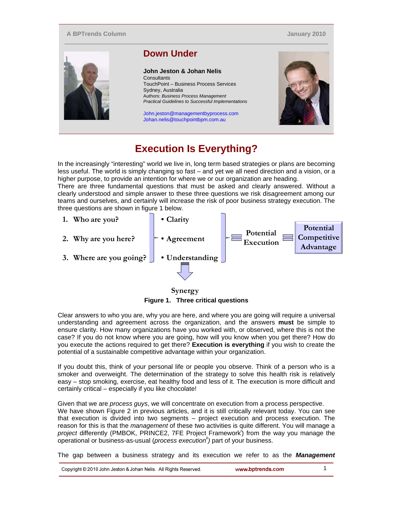## **A BPTrends Column**

**January 2010**



## **Execution Is Everything?**

In the increasingly "interesting" world we live in, long term based strategies or plans are becoming less useful. The world is simply changing so fast – and yet we all need direction and a vision, or a higher purpose, to provide an intention for where we or our organization are heading.

There are three fundamental questions that must be asked and clearly answered. Without a clearly understood and simple answer to these three questions we risk disagreement among our teams and ourselves, and certainly will increase the risk of poor business strategy execution. The three questions are shown in figure 1 below.



**Synergy Figure 1. Three critical questions** 

Clear answers to who you are, why you are here, and where you are going will require a universal understanding and agreement across the organization, and the answers **must** be simple to ensure clarity. How many organizations have you worked with, or observed, where this is not the case? If you do not know where you are going, how will you know when you get there? How do you execute the actions required to get there? **Execution is everything** if you wish to create the potential of a sustainable competitive advantage within your organization.

If you doubt this, think of your personal life or people you observe. Think of a person who is a smoker and overweight. The determination of the strategy to solve this health risk is relatively easy – stop smoking, exercise, eat healthy food and less of it. The execution is more difficult and certainly critical – especially if you like chocolate!

Given that we are *process guys*, we will concentrate on execution from a process perspective. We have shown Figure 2 in previous articles, and it is still critically relevant today. You can see that execution is divided into two segments – project execution and process execution. The reason for this is that the *management* of these two activities is quite different. You will manage a project differently (PMBOK, PRINCE2, 7FE Project Framework<sup>i</sup>) from the way you manage the operational or business-as-usual (*process executionii)* part of your business.

The gap between a business strategy and its execution we refer to as the *Management* 

| Copyright © 2010 John Jeston & Johan Nelis. All Rights Reserved. |  | www.bptrends.com |  |
|------------------------------------------------------------------|--|------------------|--|
|------------------------------------------------------------------|--|------------------|--|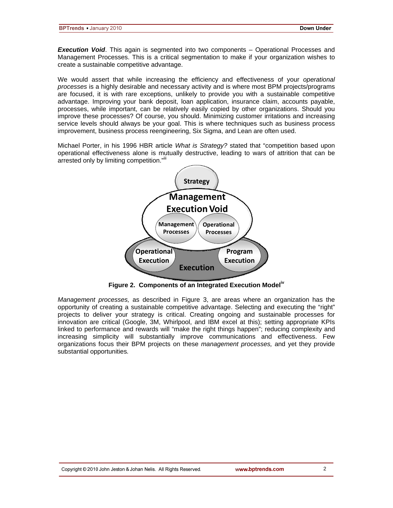*Execution Void*. This again is segmented into two components – Operational Processes and Management Processes. This is a critical segmentation to make if your organization wishes to create a sustainable competitive advantage.

We would assert that while increasing the efficiency and effectiveness of your *operational processes* is a highly desirable and necessary activity and is where most BPM projects/programs are focused, it is with rare exceptions, unlikely to provide you with a sustainable competitive advantage. Improving your bank deposit, loan application, insurance claim, accounts payable, processes, while important, can be relatively easily copied by other organizations. Should you improve these processes? Of course, you should. Minimizing customer irritations and increasing service levels should always be your goal. This is where techniques such as business process improvement, business process reengineering, Six Sigma, and Lean are often used.

Michael Porter, in his 1996 HBR article *What is Strategy?* stated that "competition based upon operational effectiveness alone is mutually destructive, leading to wars of attrition that can be arrested only by limiting competition."iii



Figure 2. Components of an Integrated Execution Model<sup>iv</sup>

*Management processes,* as described in Figure 3, are areas where an organization has the opportunity of creating a sustainable competitive advantage. Selecting and executing the "right" projects to deliver your strategy is critical. Creating ongoing and sustainable processes for innovation are critical (Google, 3M, Whirlpool, and IBM excel at this); setting appropriate KPIs linked to performance and rewards will "make the right things happen"; reducing complexity and increasing simplicity will substantially improve communications and effectiveness. Few organizations focus their BPM projects on these *management processes,* and yet they provide substantial opportunities*.*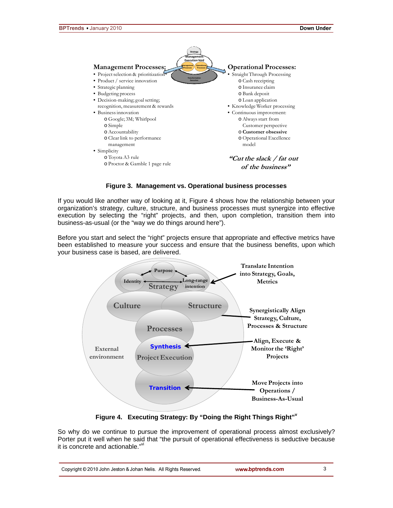3



## **Figure 3. Management vs. Operational business processes**

If you would like another way of looking at it, Figure 4 shows how the relationship between your organization's strategy, culture, structure, and business processes must synergize into effective execution by selecting the "right" projects, and then, upon completion, transition them into business-as-usual (or the "way we do things around here").

Before you start and select the "right" projects ensure that appropriate and effective metrics have been established to measure your success and ensure that the business benefits, upon which your business case is based, are delivered.



**Figure 4. Executing Strategy: By "Doing the Right Things Right"v**

So why do we continue to pursue the improvement of operational process almost exclusively? Porter put it well when he said that "the pursuit of operational effectiveness is seductive because it is concrete and actionable."<sup>v</sup>

|  | Copyright © 2010 John Jeston & Johan Nelis. All Rights Reserved. | www.bptrends.com |
|--|------------------------------------------------------------------|------------------|
|--|------------------------------------------------------------------|------------------|